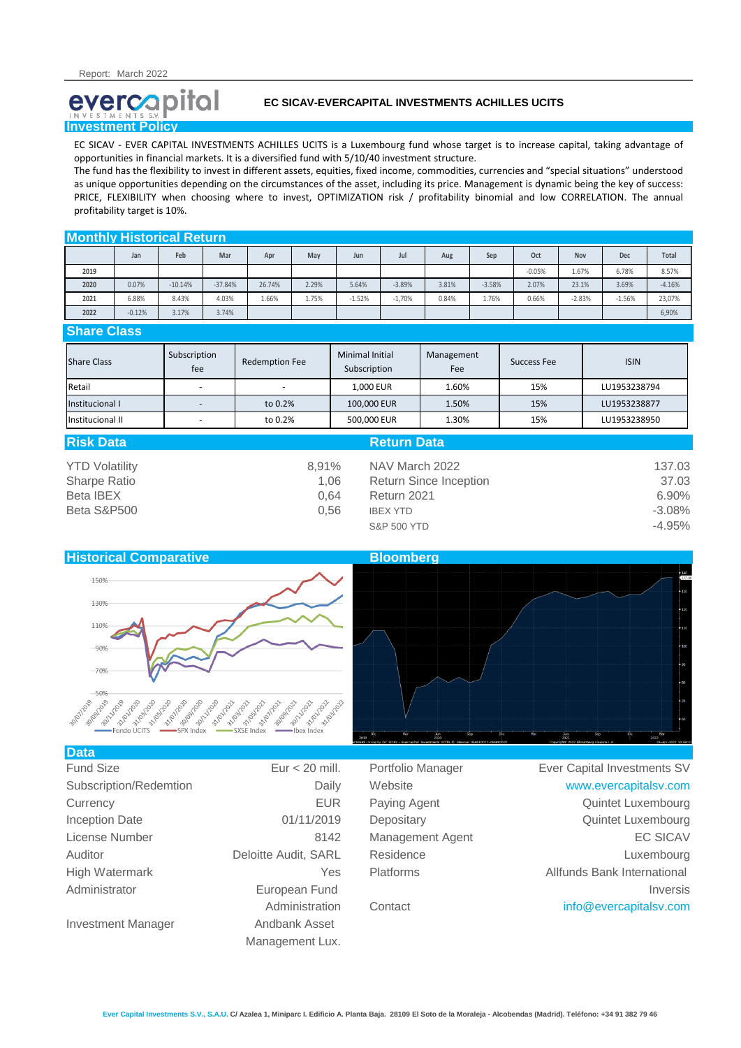# evercapital **Investment Policy**

## **EC SICAV-EVERCAPITAL INVESTMENTS ACHILLES UCITS**

EC SICAV - EVER CAPITAL INVESTMENTS ACHILLES UCITS is a Luxembourg fund whose target is to increase capital, taking advantage of opportunities in financial markets. It is a diversified fund with 5/10/40 investment structure.

The fund has the flexibility to invest in different assets, equities, fixed income, commodities, currencies and "special situations" understood as unique opportunities depending on the circumstances of the asset, including its price. Management is dynamic being the key of success: PRICE, FLEXIBILITY when choosing where to invest, OPTIMIZATION risk / profitability binomial and low CORRELATION. The annual profitability target is 10%.

## **Monthly Historical Return**

|      | Jan      | Feb       | Mar       | Apr    | May   | Jun      | Jul      | Aug   | Sep      | Oct      | Nov      | Dec      | Total    |
|------|----------|-----------|-----------|--------|-------|----------|----------|-------|----------|----------|----------|----------|----------|
| 2019 |          |           |           |        |       |          |          |       |          | $-0.05%$ | 1.67%    | 6.78%    | 8.57%    |
| 2020 | 0.07%    | $-10.14%$ | $-37.84%$ | 26.74% | 2.29% | 5.64%    | $-3.89%$ | 3.81% | $-3.58%$ | 2.07%    | 23.1%    | 3.69%    | $-4.16%$ |
| 2021 | 6.88%    | 8.43%     | 4.03%     | 1.66%  | 1.75% | $-1.52%$ | $-1,70%$ | 0.84% | 1.76%    | 0.66%    | $-2.83%$ | $-1.56%$ | 23,07%   |
| 2022 | $-0.12%$ | 3.17%     | 3.74%     |        |       |          |          |       |          |          |          |          | 6,90%    |

## **Share Class**

| <b>Share Class</b> | Subscription<br>fee | <b>Redemption Fee</b> | <b>Minimal Initial</b><br>Subscription | Management<br>Fee | Success Fee | <b>ISIN</b>  |
|--------------------|---------------------|-----------------------|----------------------------------------|-------------------|-------------|--------------|
| Retail             |                     |                       | 1,000 EUR                              | 1.60%             | 15%         | LU1953238794 |
| Institucional I    |                     | to 0.2%               | 100,000 EUR                            | 1.50%             | 15%         | LU1953238877 |
| Institucional II   |                     | to 0.2%               | 500,000 EUR                            | 1.30%             | 15%         | LU1953238950 |

| <b>Risk Data</b>      |       | <b>Return Data</b>            |          |
|-----------------------|-------|-------------------------------|----------|
| <b>YTD Volatility</b> | 8.91% | NAV March 2022                | 137.03   |
| <b>Sharpe Ratio</b>   | 1.06  | <b>Return Since Inception</b> | 37.03    |
| Beta IBEX             | 0.64  | Return 2021                   | 6.90%    |
| Beta S&P500           | 0.56  | <b>IBEX YTD</b>               | $-3.08%$ |
|                       |       | <b>S&amp;P 500 YTD</b>        | $-4.95%$ |



| Data                      |                      |                   |                             |
|---------------------------|----------------------|-------------------|-----------------------------|
| <b>Fund Size</b>          | Eur $<$ 20 mill.     | Portfolio Manager | Ever Capital Investments SV |
| Subscription/Redemtion    | Daily                | Website           | www.evercapitalsv.com       |
| Currency                  | <b>EUR</b>           | Paying Agent      | Quintet Luxembourg          |
| <b>Inception Date</b>     | 01/11/2019           | Depositary        | Quintet Luxembourg          |
| License Number            | 8142                 | Management Agent  | <b>EC SICAV</b>             |
| Auditor                   | Deloitte Audit, SARL | Residence         | Luxembourg                  |
| High Watermark            | Yes                  | <b>Platforms</b>  | Allfunds Bank International |
| Administrator             | European Fund        |                   | <b>Inversis</b>             |
|                           | Administration       | Contact           | info@evercapitalsv.com      |
| <b>Investment Manager</b> | Andbank Asset        |                   |                             |
|                           | Management Lux.      |                   |                             |